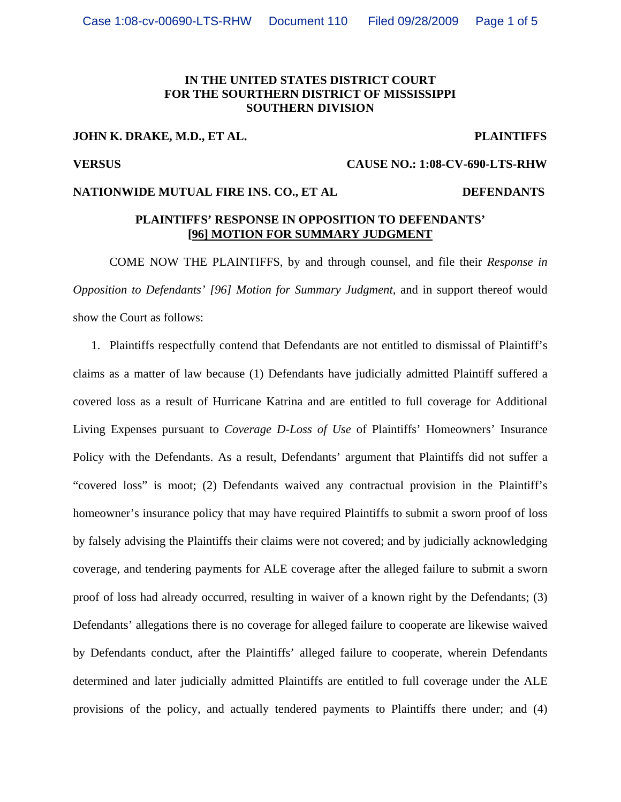### **IN THE UNITED STATES DISTRICT COURT FOR THE SOURTHERN DISTRICT OF MISSISSIPPI SOUTHERN DIVISION**

### **JOHN K. DRAKE, M.D., ET AL. PLAINTIFFS**

**VERSUS CAUSE NO.: 1:08-CV-690-LTS-RHW** 

# **NATIONWIDE MUTUAL FIRE INS. CO., ET AL DEFENDANTS**

### **PLAINTIFFS' RESPONSE IN OPPOSITION TO DEFENDANTS' [96] MOTION FOR SUMMARY JUDGMENT**

 COME NOW THE PLAINTIFFS, by and through counsel, and file their *Response in Opposition to Defendants' [96] Motion for Summary Judgment*, and in support thereof would show the Court as follows:

1. Plaintiffs respectfully contend that Defendants are not entitled to dismissal of Plaintiff's claims as a matter of law because (1) Defendants have judicially admitted Plaintiff suffered a covered loss as a result of Hurricane Katrina and are entitled to full coverage for Additional Living Expenses pursuant to *Coverage D-Loss of Use* of Plaintiffs' Homeowners' Insurance Policy with the Defendants. As a result, Defendants' argument that Plaintiffs did not suffer a "covered loss" is moot; (2) Defendants waived any contractual provision in the Plaintiff's homeowner's insurance policy that may have required Plaintiffs to submit a sworn proof of loss by falsely advising the Plaintiffs their claims were not covered; and by judicially acknowledging coverage, and tendering payments for ALE coverage after the alleged failure to submit a sworn proof of loss had already occurred, resulting in waiver of a known right by the Defendants; (3) Defendants' allegations there is no coverage for alleged failure to cooperate are likewise waived by Defendants conduct, after the Plaintiffs' alleged failure to cooperate, wherein Defendants determined and later judicially admitted Plaintiffs are entitled to full coverage under the ALE provisions of the policy, and actually tendered payments to Plaintiffs there under; and (4)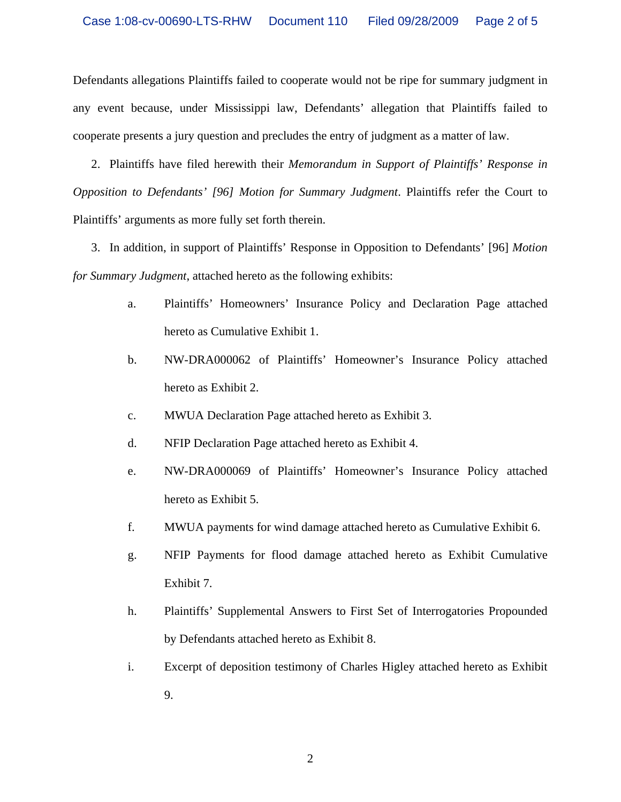Defendants allegations Plaintiffs failed to cooperate would not be ripe for summary judgment in any event because, under Mississippi law, Defendants' allegation that Plaintiffs failed to cooperate presents a jury question and precludes the entry of judgment as a matter of law.

2. Plaintiffs have filed herewith their *Memorandum in Support of Plaintiffs' Response in Opposition to Defendants' [96] Motion for Summary Judgment*. Plaintiffs refer the Court to Plaintiffs' arguments as more fully set forth therein.

3. In addition, in support of Plaintiffs' Response in Opposition to Defendants' [96] *Motion for Summary Judgment*, attached hereto as the following exhibits:

- a. Plaintiffs' Homeowners' Insurance Policy and Declaration Page attached hereto as Cumulative Exhibit 1.
- b. NW-DRA000062 of Plaintiffs' Homeowner's Insurance Policy attached hereto as Exhibit 2.
- c. MWUA Declaration Page attached hereto as Exhibit 3.
- d. NFIP Declaration Page attached hereto as Exhibit 4.
- e. NW-DRA000069 of Plaintiffs' Homeowner's Insurance Policy attached hereto as Exhibit 5.
- f. MWUA payments for wind damage attached hereto as Cumulative Exhibit 6.
- g. NFIP Payments for flood damage attached hereto as Exhibit Cumulative Exhibit 7.
- h. Plaintiffs' Supplemental Answers to First Set of Interrogatories Propounded by Defendants attached hereto as Exhibit 8.
- i. Excerpt of deposition testimony of Charles Higley attached hereto as Exhibit 9.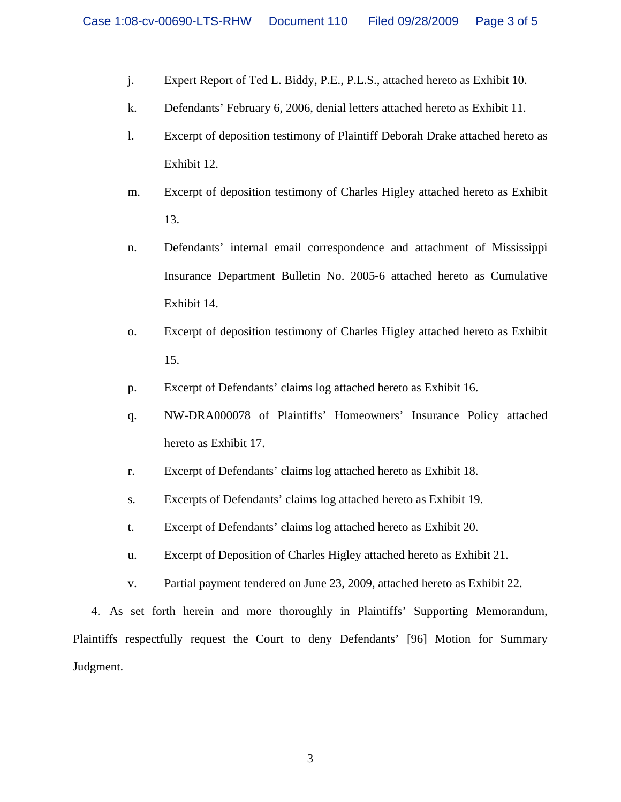- j. Expert Report of Ted L. Biddy, P.E., P.L.S., attached hereto as Exhibit 10.
- k. Defendants' February 6, 2006, denial letters attached hereto as Exhibit 11.
- l. Excerpt of deposition testimony of Plaintiff Deborah Drake attached hereto as Exhibit 12.
- m. Excerpt of deposition testimony of Charles Higley attached hereto as Exhibit 13.
- n. Defendants' internal email correspondence and attachment of Mississippi Insurance Department Bulletin No. 2005-6 attached hereto as Cumulative Exhibit 14.
- o. Excerpt of deposition testimony of Charles Higley attached hereto as Exhibit 15.
- p. Excerpt of Defendants' claims log attached hereto as Exhibit 16.
- q. NW-DRA000078 of Plaintiffs' Homeowners' Insurance Policy attached hereto as Exhibit 17.
- r. Excerpt of Defendants' claims log attached hereto as Exhibit 18.
- s. Excerpts of Defendants' claims log attached hereto as Exhibit 19.
- t. Excerpt of Defendants' claims log attached hereto as Exhibit 20.
- u. Excerpt of Deposition of Charles Higley attached hereto as Exhibit 21.
- v. Partial payment tendered on June 23, 2009, attached hereto as Exhibit 22.

4. As set forth herein and more thoroughly in Plaintiffs' Supporting Memorandum, Plaintiffs respectfully request the Court to deny Defendants' [96] Motion for Summary Judgment.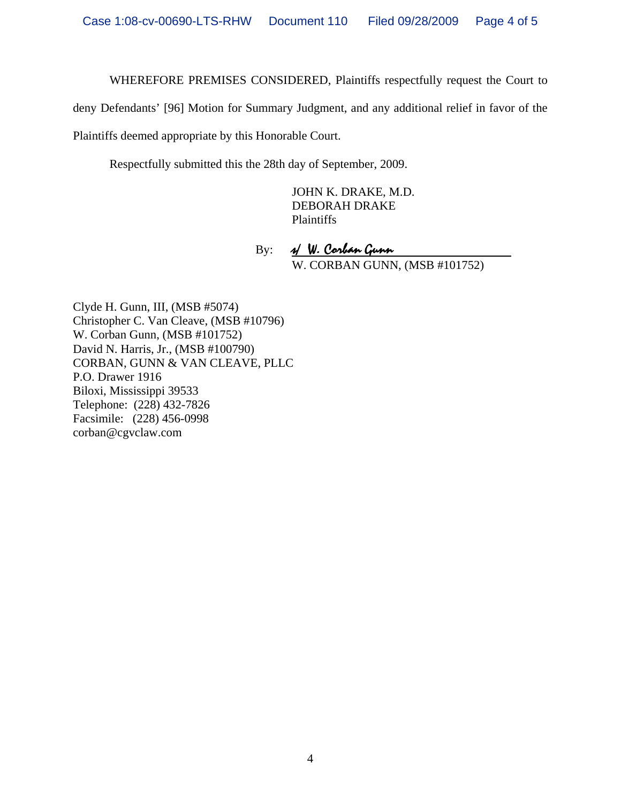WHEREFORE PREMISES CONSIDERED, Plaintiffs respectfully request the Court to

deny Defendants' [96] Motion for Summary Judgment, and any additional relief in favor of the

Plaintiffs deemed appropriate by this Honorable Court.

Respectfully submitted this the 28th day of September, 2009.

 JOHN K. DRAKE, M.D. DEBORAH DRAKE Plaintiffs

By: N. Corban Gunn W. CORBAN GUNN, (MSB #101752)

Clyde H. Gunn, III, (MSB #5074) Christopher C. Van Cleave, (MSB #10796) W. Corban Gunn, (MSB #101752) David N. Harris, Jr., (MSB #100790) CORBAN, GUNN & VAN CLEAVE, PLLC P.O. Drawer 1916 Biloxi, Mississippi 39533 Telephone: (228) 432-7826 Facsimile: (228) 456-0998 corban@cgvclaw.com